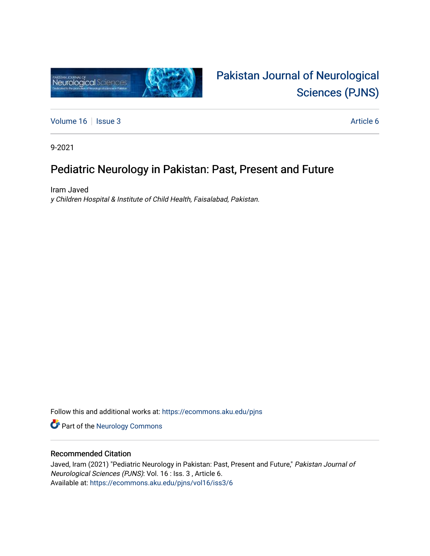

# [Pakistan Journal of Neurological](https://ecommons.aku.edu/pjns)  [Sciences \(PJNS\)](https://ecommons.aku.edu/pjns)

[Volume 16](https://ecommons.aku.edu/pjns/vol16) | [Issue 3](https://ecommons.aku.edu/pjns/vol16/iss3) Article 6

9-2021

## Pediatric Neurology in Pakistan: Past, Present and Future

Iram Javed y Children Hospital & Institute of Child Health, Faisalabad, Pakistan.

Follow this and additional works at: [https://ecommons.aku.edu/pjns](https://ecommons.aku.edu/pjns?utm_source=ecommons.aku.edu%2Fpjns%2Fvol16%2Fiss3%2F6&utm_medium=PDF&utm_campaign=PDFCoverPages) 

Part of the [Neurology Commons](http://network.bepress.com/hgg/discipline/692?utm_source=ecommons.aku.edu%2Fpjns%2Fvol16%2Fiss3%2F6&utm_medium=PDF&utm_campaign=PDFCoverPages)

### Recommended Citation

Javed, Iram (2021) "Pediatric Neurology in Pakistan: Past, Present and Future," Pakistan Journal of Neurological Sciences (PJNS): Vol. 16 : Iss. 3 , Article 6. Available at: [https://ecommons.aku.edu/pjns/vol16/iss3/6](https://ecommons.aku.edu/pjns/vol16/iss3/6?utm_source=ecommons.aku.edu%2Fpjns%2Fvol16%2Fiss3%2F6&utm_medium=PDF&utm_campaign=PDFCoverPages)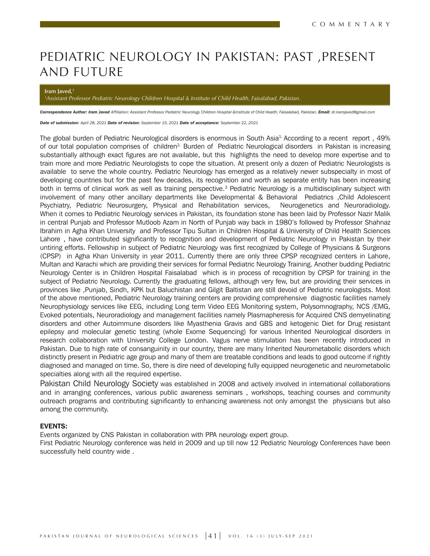# PEDIATRIC NEUROLOGY IN PAKISTAN: PAST ,PRESENT AND FUTURE

#### **Iram Javed,1**

#### *1 Assistant Professor Pediatric Neurology Children Hospital & Institute of Child Health, Faisalabad, Pakistan.*

Correspondence Author: Iram Javed Affiliation: Assistant Professor Pediatric Neurology Children Hospital &Institute of Child Health, Faisalabad, Pakistan. *Email: dr.iramjaved@gmail.com* 

*Date of submission: April 28, 2021 Date of revision: September 15, 2021 Date of acceptance: September 22, 2021*

The global burden of Pediatric Neurological disorders is enormous in South Asia<sup>1</sup> According to a recent report, 49% of our total population comprises of children<sup>2.</sup> Burden of Pediatric Neurological disorders in Pakistan is increasing substantially although exact figures are not available, but this highlights the need to develop more expertise and to train more and more Pediatric Neurologists to cope the situation. At present only a dozen of Pediatric Neurologists is available to serve the whole country. Pediatric Neurology has emerged as a relatively newer subspecialty in most of developing countries but for the past few decades, its recognition and worth as separate entity has been increasing both in terms of clinical work as well as training perspective.<sup>3</sup> Pediatric Neurology is a multidisciplinary subject with involvement of many other ancillary departments like Developmental & Behavioral Pediatrics ,Child Adolescent Psychiatry, Pediatric Neurosurgery, Physical and Rehabilitation services, Neurogenetics and Neuroradiology. When it comes to Pediatric Neurology services in Pakistan, its foundation stone has been laid by Professor Nazir Malik in central Punjab and Professor Mutloob Azam in North of Punjab way back in 1980's followed by Professor Shahnaz Ibrahim in Agha Khan University and Professor Tipu Sultan in Children Hospital & University of Child Health Sciences Lahore , have contributed significantly to recognition and development of Pediatric Neurology in Pakistan by their untiring efforts. Fellowship in subject of Pediatric Neurology was first recognized by College of Physicians & Surgeons (CPSP) in Agha Khan University in year 2011. Currently there are only three CPSP recognized centers in Lahore, Multan and Karachi which are providing their services for formal Pediatric Neurology Training. Another budding Pediatric Neurology Center is in Children Hospital Faisalabad which is in process of recognition by CPSP for training in the subject of Pediatric Neurology. Currently the graduating fellows, although very few, but are providing their services in provinces like ,Punjab, Sindh, KPK but Baluchistan and Gilgit Baltistan are still devoid of Pediatric neurologists. Most of the above mentioned, Pediatric Neurology training centers are providing comprehensive diagnostic facilities namely Neurophysiology services like EEG, including Long term Video EEG Monitoring system, Polysomnography, NCS /EMG, Evoked potentials, Neuroradiology and management facilities namely Plasmapheresis for Acquired CNS demyelinating disorders and other Autoimmune disorders like Myasthenia Gravis and GBS and ketogenic Diet for Drug resistant epilepsy and molecular genetic testing (whole Exome Sequencing) for various Inherited Neurological disorders in research collaboration with University College London. Vagus nerve stimulation has been recently introduced in Pakistan. Due to high rate of consanguinity in our country, there are many Inherited Neurometabolic disorders which distinctly present in Pediatric age group and many of them are treatable conditions and leads to good outcome if rightly diagnosed and managed on time. So, there is dire need of developing fully equipped neurogenetic and neurometabolic specialties along with all the required expertise.

Pakistan Child Neurology Society was established in 2008 and actively involved in international collaborations and in arranging conferences, various public awareness seminars , workshops, teaching courses and community outreach programs and contributing significantly to enhancing awareness not only amongst the physicians but also among the community.

#### EVENTS:

Events organized by CNS Pakistan in collaboration with PPA neurology expert group.

First Pediatric Neurology conference was held in 2009 and up till now 12 Pediatric Neurology Conferences have been successfully held country wide .